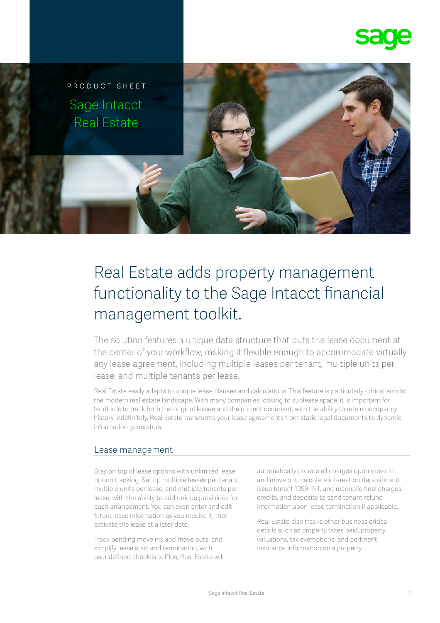



# Real Estate adds property management functionality to the Sage Intacct financial management toolkit.

The solution features a unique data structure that puts the lease document at the center of your workflow, making it flexible enough to accommodate virtually any lease agreement, including multiple leases per tenant, multiple units per lease, and multiple tenants per lease.

Real Estate easily adapts to unique lease clauses and calculations. This feature is particularly critical amidst the modern real estate landscape. With many companies looking to sublease space, it is important for landlords to track both the original lessee and the current occupant, with the ability to retain occupancy history indefinitely. Real Estate transforms your lease agreements from static legal documents to dynamic information generators.

#### Lease management

Stay on top of lease options with unlimited lease option tracking. Set up multiple leases per tenant, multiple units per lease, and multiple tenants per lease, with the ability to add unique provisions for each arrangement. You can even enter and edit future lease information as you receive it, then activate the lease at a later date.

Track pending move ins and move outs, and simplify lease start and termination, with user defined checklists. Plus, Real Estate will automatically prorate all charges upon move in and move out, calculate interest on deposits and issue tenant 1099-INT, and reconcile final charges, credits, and deposits to send tenant refund information upon lease termination if applicable.

Real Estate also tracks other business critical details such as property taxes paid, property valuations, tax exemptions, and pertinent insurance information on a property.